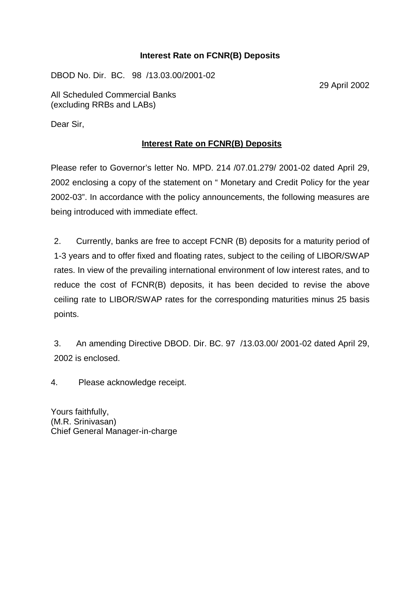## **Interest Rate on FCNR(B) Deposits**

DBOD No. Dir. BC. 98 /13.03.00/2001-02

29 April 2002

All Scheduled Commercial Banks (excluding RRBs and LABs)

Dear Sir,

# **Interest Rate on FCNR(B) Deposits**

Please refer to Governor's letter No. MPD. 214 /07.01.279/ 2001-02 dated April 29, 2002 enclosing a copy of the statement on " Monetary and Credit Policy for the year 2002-03". In accordance with the policy announcements, the following measures are being introduced with immediate effect.

2. Currently, banks are free to accept FCNR (B) deposits for a maturity period of 1-3 years and to offer fixed and floating rates, subject to the ceiling of LIBOR/SWAP rates. In view of the prevailing international environment of low interest rates, and to reduce the cost of FCNR(B) deposits, it has been decided to revise the above ceiling rate to LIBOR/SWAP rates for the corresponding maturities minus 25 basis points.

3. An amending Directive DBOD. Dir. BC. 97 /13.03.00/ 2001-02 dated April 29, 2002 is enclosed.

4. Please acknowledge receipt.

Yours faithfully, (M.R. Srinivasan) Chief General Manager-in-charge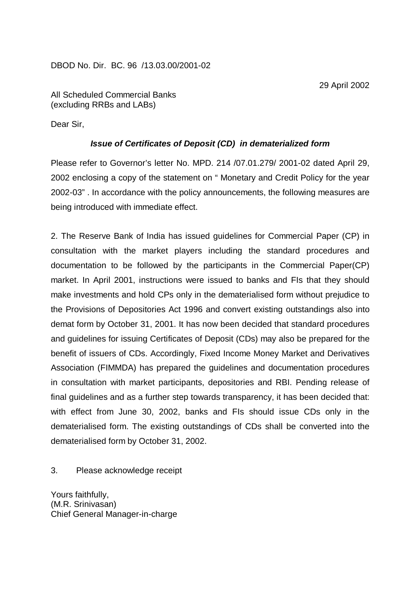DBOD No. Dir. BC. 96 /13.03.00/2001-02

29 April 2002

All Scheduled Commercial Banks (excluding RRBs and LABs)

Dear Sir,

## *Issue of Certificates of Deposit (CD) in dematerialized form*

Please refer to Governor's letter No. MPD. 214 /07.01.279/ 2001-02 dated April 29, 2002 enclosing a copy of the statement on " Monetary and Credit Policy for the year 2002-03" . In accordance with the policy announcements, the following measures are being introduced with immediate effect.

2. The Reserve Bank of India has issued guidelines for Commercial Paper (CP) in consultation with the market players including the standard procedures and documentation to be followed by the participants in the Commercial Paper(CP) market. In April 2001, instructions were issued to banks and FIs that they should make investments and hold CPs only in the dematerialised form without prejudice to the Provisions of Depositories Act 1996 and convert existing outstandings also into demat form by October 31, 2001. It has now been decided that standard procedures and guidelines for issuing Certificates of Deposit (CDs) may also be prepared for the benefit of issuers of CDs. Accordingly, Fixed Income Money Market and Derivatives Association (FIMMDA) has prepared the guidelines and documentation procedures in consultation with market participants, depositories and RBI. Pending release of final guidelines and as a further step towards transparency, it has been decided that: with effect from June 30, 2002, banks and FIs should issue CDs only in the dematerialised form. The existing outstandings of CDs shall be converted into the dematerialised form by October 31, 2002.

3. Please acknowledge receipt

Yours faithfully, (M.R. Srinivasan) Chief General Manager-in-charge